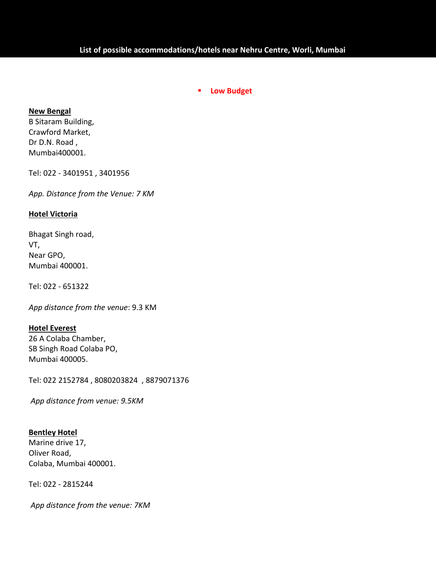## **Low Budget**

## **New Bengal**

B Sitaram Building, Crawford Market, Dr D.N. Road , Mumbai400001.

Tel: 022 - 3401951 , 3401956

*App. Distance from the Venue: 7 KM* 

## **Hotel Victoria**

Bhagat Singh road, VT, Near GPO, Mumbai 400001.

Tel: 022 - 651322

*App distance from the venue*: 9.3 KM

# **Hotel Everest**

26 A Colaba Chamber, SB Singh Road Colaba PO, Mumbai 400005.

Tel: 022 2152784 , 8080203824 , 8879071376

 *App distance from venue: 9.5KM*

## **Bentley Hotel**

Marine drive 17, Oliver Road, Colaba, Mumbai 400001.

Tel: 022 - 2815244

*App distance from the venue: 7KM*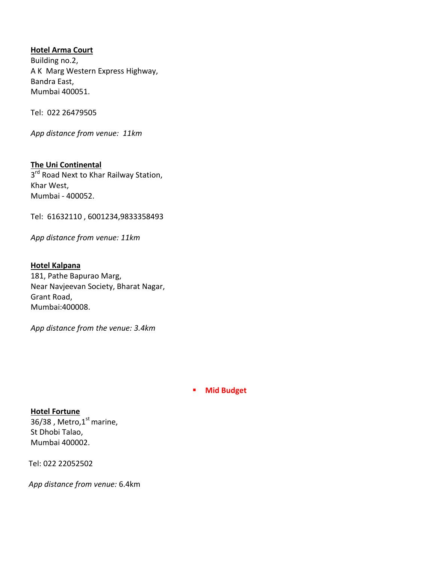## **Hotel Arma Court**

 Building no.2, A K Marg Western Express Highway, Bandra East, Mumbai 400051.

Tel: 022 26479505

 *App distance from venue: 11km*

 **The Uni Continental**  3<sup>rd</sup> Road Next to Khar Railway Station, Khar West, Mumbai - 400052.

Tel: 61632110 , 6001234,9833358493

*App distance from venue: 11km* 

 **Hotel Kalpana**  181, Pathe Bapurao Marg, Near Navjeevan Society, Bharat Nagar, Grant Road, Mumbai:400008.

*App distance from the venue: 3.4km* 

## **Mid Budget**

 **Hotel Fortune**  36/38, Metro, $1<sup>st</sup>$  marine, St Dhobi Talao, Mumbai 400002.

Tel: 022 22052502

*App distance from venue:* 6.4km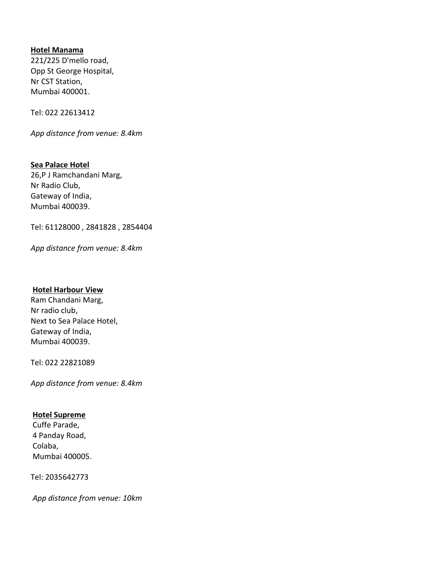## **Hotel Manama**

 221/225 D'mello road, Opp St George Hospital, Nr CST Station, Mumbai 400001.

Tel: 022 22613412

*App distance from venue: 8.4km* 

 **Sea Palace Hotel**  26,P J Ramchandani Marg, Nr Radio Club, Gateway of India, Mumbai 400039.

Tel: 61128000 , 2841828 , 2854404

 *App distance from venue: 8.4km* 

## **Hotel Harbour View**

 Ram Chandani Marg, Nr radio club, Next to Sea Palace Hotel, Gateway of India, Mumbai 400039.

Tel: 022 22821089

 *App distance from venue: 8.4km* 

## **Hotel Supreme**

 Cuffe Parade, 4 Panday Road, Colaba, Mumbai 400005.

Tel: 2035642773

 *App distance from venue: 10km*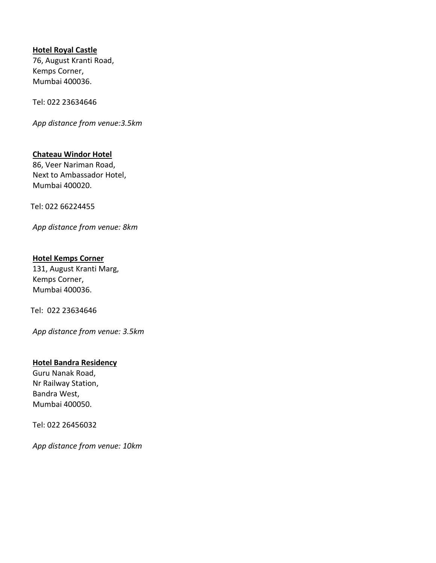## **Hotel Royal Castle**

 76, August Kranti Road, Kemps Corner, Mumbai 400036.

Tel: 022 23634646

*App distance from venue:3.5km* 

## **Chateau Windor Hotel**

 86, Veer Nariman Road, Next to Ambassador Hotel, Mumbai 400020.

Tel: 022 66224455

 *App distance from venue: 8km* 

## **Hotel Kemps Corner**

 131, August Kranti Marg, Kemps Corner, Mumbai 400036.

Tel: 022 23634646

 *App distance from venue: 3.5km* 

## **Hotel Bandra Residency**

 Guru Nanak Road, Nr Railway Station, Bandra West, Mumbai 400050.

Tel: 022 26456032

*App distance from venue: 10km*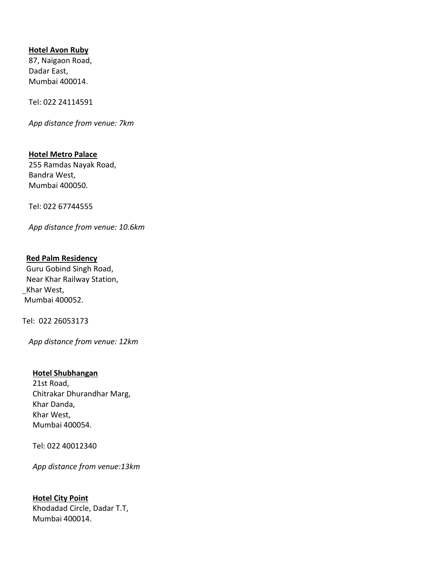## **Hotel Avon Ruby**

87, Naigaon Road, Dadar East, Mumbai 400014.

Tel: 022 24114591

*App distance from venue: 7km* 

**Hotel Metro Palace**  255 Ramdas Nayak Road, Bandra West, Mumbai 400050.

Tel: 022 67744555

*App distance from venue: 10.6km* 

 **Red Palm Residency**  Guru Gobind Singh Road, Near Khar Railway Station, Khar West, Mumbai 400052.

Tel: 022 26053173

*App distance from venue: 12km* 

#### **Hotel Shubhangan**

 21st Road, Chitrakar Dhurandhar Marg, Khar Danda, Khar West, Mumbai 400054.

Tel: 022 40012340

*App distance from venue:13km* 

## **Hotel City Point**  Khodadad Circle, Dadar T.T, Mumbai 400014.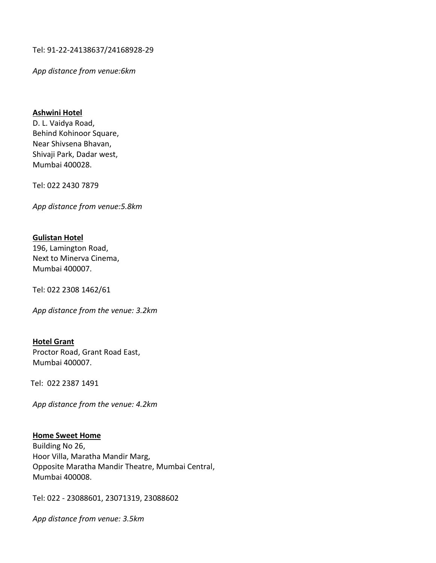Tel: 91-22-24138637/24168928-29

 *App distance from venue:6km* 

#### **Ashwini Hotel**

 D. L. Vaidya Road, Behind Kohinoor Square, Near Shivsena Bhavan, Shivaji Park, Dadar west, Mumbai 400028.

Tel: 022 2430 7879

 *App distance from venue:5.8km* 

## **Gulistan Hotel**

 196, Lamington Road, Next to Minerva Cinema, Mumbai 400007.

Tel: 022 2308 1462/61

 *App distance from the venue: 3.2km* 

## **Hotel Grant**  Proctor Road, Grant Road East, Mumbai 400007.

Tel: 022 2387 1491

 *App distance from the venue: 4.2km* 

## **Home Sweet Home**  Building No 26, Hoor Villa, Maratha Mandir Marg, Opposite Maratha Mandir Theatre, Mumbai Central, Mumbai 400008.

Tel: 022 - 23088601, 23071319, 23088602

 *App distance from venue: 3.5km*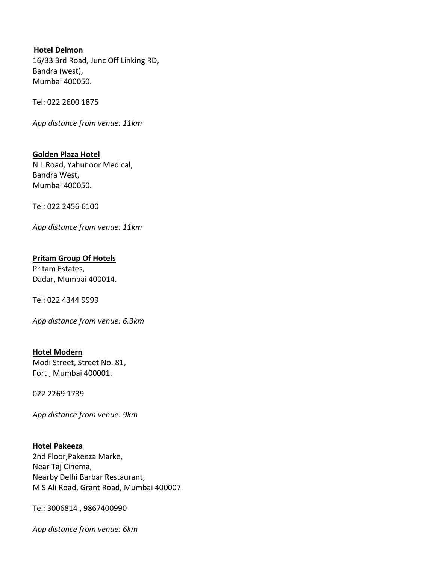## **Hotel Delmon**

 16/33 3rd Road, Junc Off Linking RD, Bandra (west), Mumbai 400050.

Tel: 022 2600 1875

*App distance from venue: 11km* 

 **Golden Plaza Hotel**  N L Road, Yahunoor Medical, Bandra West, Mumbai 400050.

Tel: 022 2456 6100

 *App distance from venue: 11km* 

## **Pritam Group Of Hotels**

 Pritam Estates, Dadar, Mumbai 400014.

Tel: 022 4344 9999

 *App distance from venue: 6.3km* 

 **Hotel Modern**  Modi Street, Street No. 81, Fort , Mumbai 400001.

022 2269 1739

*App distance from venue: 9km* 

 **Hotel Pakeeza**  2nd Floor,Pakeeza Marke, Near Taj Cinema, Nearby Delhi Barbar Restaurant, M S Ali Road, Grant Road, Mumbai 400007.

Tel: 3006814 , 9867400990

 *App distance from venue: 6km*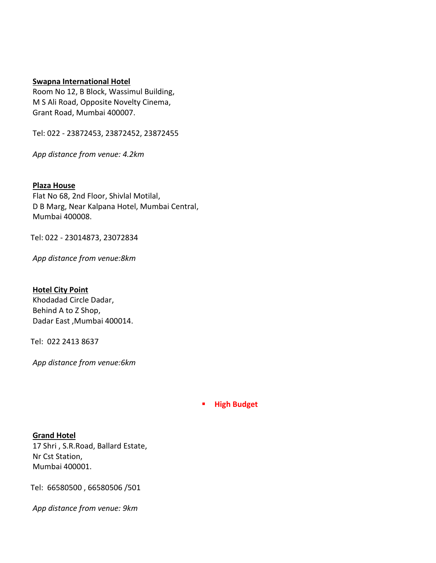#### **Swapna International Hotel**

 Room No 12, B Block, Wassimul Building, M S Ali Road, Opposite Novelty Cinema, Grant Road, Mumbai 400007.

Tel: 022 - 23872453, 23872452, 23872455

 *App distance from venue: 4.2km* 

## **Plaza House**

 Flat No 68, 2nd Floor, Shivlal Motilal, D B Marg, Near Kalpana Hotel, Mumbai Central, Mumbai 400008.

Tel: 022 - 23014873, 23072834

 *App distance from venue:8km* 

 **Hotel City Point**  Khodadad Circle Dadar, Behind A to Z Shop, Dadar East ,Mumbai 400014.

Tel: 022 2413 8637

 *App distance from venue:6km* 

## **High Budget**

 **Grand Hotel**  17 Shri , S.R.Road, Ballard Estate, Nr Cst Station, Mumbai 400001.

Tel: 66580500 , 66580506 /501

 *App distance from venue: 9km*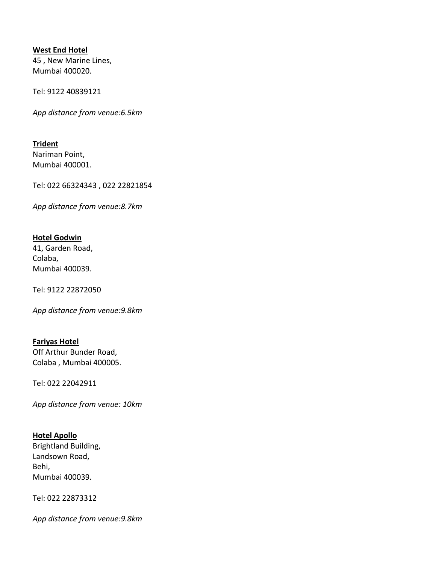## **West End Hotel**

 45 , New Marine Lines, Mumbai 400020.

Tel: 9122 40839121

*App distance from venue:6.5km* 

 **Trident**  Nariman Point, Mumbai 400001.

Tel: 022 66324343 , 022 22821854

 *App distance from venue:8.7km* 

## **Hotel Godwin**

 41, Garden Road, Colaba, Mumbai 400039.

Tel: 9122 22872050

 *App distance from venue:9.8km* 

## **Fariyas Hotel**

 Off Arthur Bunder Road, Colaba , Mumbai 400005.

Tel: 022 22042911

 *App distance from venue: 10km* 

# **Hotel Apollo**

 Brightland Building, Landsown Road, Behi, Mumbai 400039.

Tel: 022 22873312

 *App distance from venue:9.8km*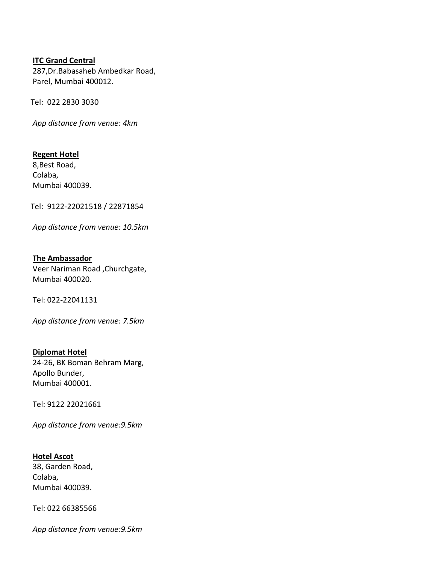## **ITC Grand Central**

 287,Dr.Babasaheb Ambedkar Road, Parel, Mumbai 400012.

Tel: 022 2830 3030

 *App distance from venue: 4km* 

 **Regent Hotel**  8,Best Road, Colaba, Mumbai 400039.

Tel: 9122-22021518 / 22871854

*App distance from venue: 10.5km* 

 **The Ambassador**  Veer Nariman Road ,Churchgate, Mumbai 400020.

Tel: 022-22041131

*App distance from venue: 7.5km* 

 **Diplomat Hotel**  24-26, BK Boman Behram Marg, Apollo Bunder, Mumbai 400001.

Tel: 9122 22021661

 *App distance from venue:9.5km* 

 **Hotel Ascot**  38, Garden Road, Colaba, Mumbai 400039.

Tel: 022 66385566

 *App distance from venue:9.5km*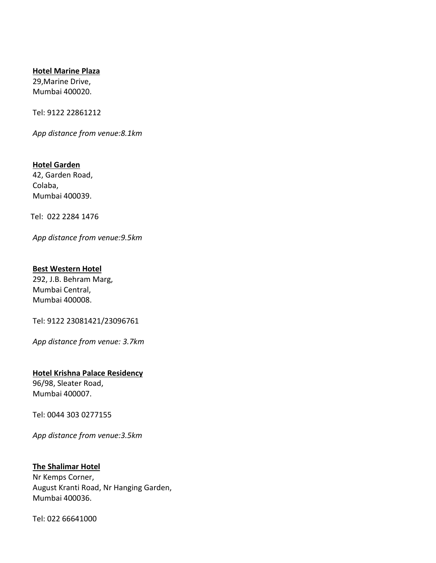## **Hotel Marine Plaza**

 29,Marine Drive, Mumbai 400020.

Tel: 9122 22861212

*App distance from venue:8.1km* 

 **Hotel Garden**  42, Garden Road, Colaba, Mumbai 400039.

Tel: 022 2284 1476

*App distance from venue:9.5km* 

# **Best Western Hotel**

 292, J.B. Behram Marg, Mumbai Central, Mumbai 400008.

Tel: 9122 23081421/23096761

*App distance from venue: 3.7km* 

## **Hotel Krishna Palace Residency**

 96/98, Sleater Road, Mumbai 400007.

Tel: 0044 303 0277155

 *App distance from venue:3.5km* 

## **The Shalimar Hotel**

 Nr Kemps Corner, August Kranti Road, Nr Hanging Garden, Mumbai 400036.

Tel: 022 66641000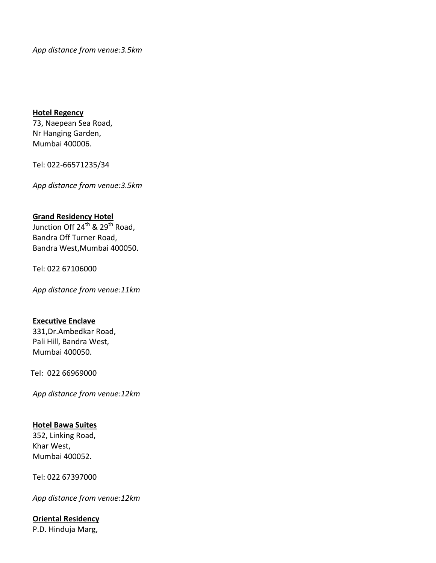*App distance from venue:3.5km* 

#### **Hotel Regency**

 73, Naepean Sea Road, Nr Hanging Garden, Mumbai 400006.

Tel: 022-66571235/34

*App distance from venue:3.5km* 

## **Grand Residency Hotel**

Junction Off 24<sup>th</sup> & 29<sup>th</sup> Road, Bandra Off Turner Road, Bandra West,Mumbai 400050.

Tel: 022 67106000

*App distance from venue:11km* 

#### **Executive Enclave**

 331,Dr.Ambedkar Road, Pali Hill, Bandra West, Mumbai 400050.

Tel: 022 66969000

 *App distance from venue:12km* 

## **Hotel Bawa Suites**

 352, Linking Road, Khar West, Mumbai 400052.

Tel: 022 67397000

*App distance from venue:12km* 

## **Oriental Residency**

P.D. Hinduja Marg,